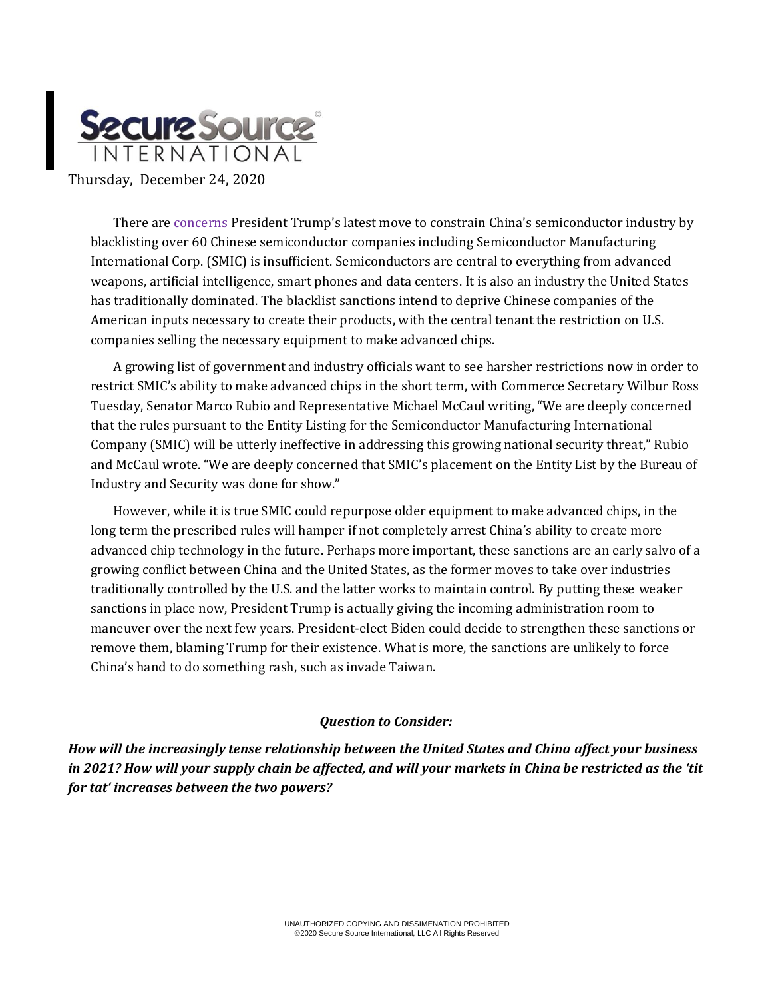

There are [concerns](https://www.bloomberg.com/news/articles/2020-12-22/how-chinese-chip-giant-smic-can-evade-trump-s-newest-crackdown) President Trump's latest move to constrain China's semiconductor industry by blacklisting over 60 Chinese semiconductor companies including Semiconductor Manufacturing International Corp. (SMIC) is insufficient. Semiconductors are central to everything from advanced weapons, artificial intelligence, smart phones and data centers. It is also an industry the United States has traditionally dominated. The blacklist sanctions intend to deprive Chinese companies of the American inputs necessary to create their products, with the central tenant the restriction on U.S. companies selling the necessary equipment to make advanced chips.

A growing list of government and industry officials want to see harsher restrictions now in order to restrict SMIC's ability to make advanced chips in the short term, with Commerce Secretary Wilbur Ross Tuesday, Senator Marco Rubio and Representative Michael McCaul writing, "We are deeply concerned that the rules pursuant to the Entity Listing for the Semiconductor Manufacturing International Company (SMIC) will be utterly ineffective in addressing this growing national security threat," Rubio and McCaul wrote. "We are deeply concerned that SMIC's placement on the Entity List by the Bureau of Industry and Security was done for show."

However, while it is true SMIC could repurpose older equipment to make advanced chips, in the long term the prescribed rules will hamper if not completely arrest China's ability to create more advanced chip technology in the future. Perhaps more important, these sanctions are an early salvo of a growing conflict between China and the United States, as the former moves to take over industries traditionally controlled by the U.S. and the latter works to maintain control. By putting these weaker sanctions in place now, President Trump is actually giving the incoming administration room to maneuver over the next few years. President-elect Biden could decide to strengthen these sanctions or remove them, blaming Trump for their existence. What is more, the sanctions are unlikely to force China's hand to do something rash, such as invade Taiwan.

## *Question to Consider:*

*How will the increasingly tense relationship between the United States and China affect your business in 2021? How will your supply chain be affected, and will your markets in China be restricted as the 'tit for tat' increases between the two powers?*